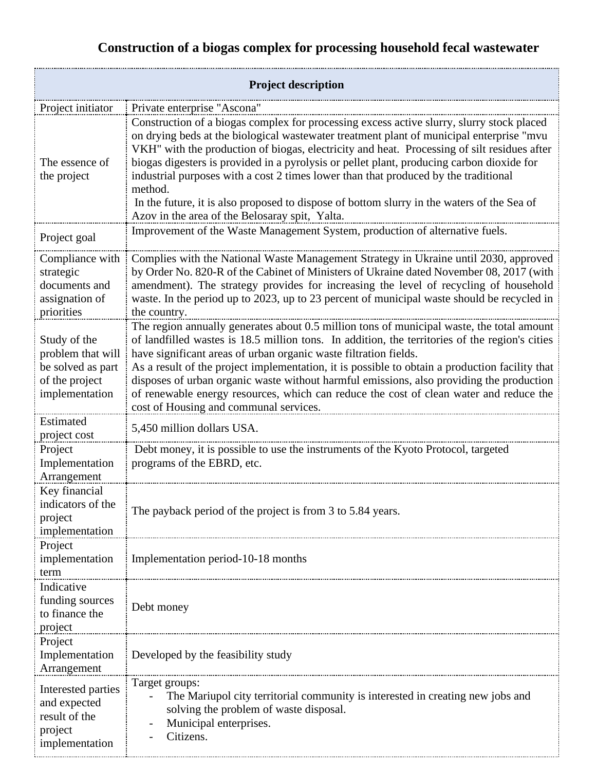## **Construction of a biogas complex for processing household fecal wastewater**

| <b>Project description</b>                                                                 |                                                                                                                                                                                                                                                                                                                                                                                                                                                                                                                                                                                                                                     |
|--------------------------------------------------------------------------------------------|-------------------------------------------------------------------------------------------------------------------------------------------------------------------------------------------------------------------------------------------------------------------------------------------------------------------------------------------------------------------------------------------------------------------------------------------------------------------------------------------------------------------------------------------------------------------------------------------------------------------------------------|
| Project initiator                                                                          | Private enterprise "Ascona"                                                                                                                                                                                                                                                                                                                                                                                                                                                                                                                                                                                                         |
| The essence of<br>the project                                                              | Construction of a biogas complex for processing excess active slurry, slurry stock placed<br>on drying beds at the biological wastewater treatment plant of municipal enterprise "mvu<br>VKH" with the production of biogas, electricity and heat. Processing of silt residues after<br>biogas digesters is provided in a pyrolysis or pellet plant, producing carbon dioxide for<br>industrial purposes with a cost 2 times lower than that produced by the traditional<br>method.<br>In the future, it is also proposed to dispose of bottom slurry in the waters of the Sea of<br>Azov in the area of the Belosaray spit, Yalta. |
| Project goal                                                                               | Improvement of the Waste Management System, production of alternative fuels.                                                                                                                                                                                                                                                                                                                                                                                                                                                                                                                                                        |
| Compliance with<br>strategic<br>documents and<br>assignation of<br>priorities              | Complies with the National Waste Management Strategy in Ukraine until 2030, approved<br>by Order No. 820-R of the Cabinet of Ministers of Ukraine dated November 08, 2017 (with<br>amendment). The strategy provides for increasing the level of recycling of household<br>waste. In the period up to 2023, up to 23 percent of municipal waste should be recycled in<br>the country.                                                                                                                                                                                                                                               |
| Study of the<br>problem that will<br>be solved as part<br>of the project<br>implementation | The region annually generates about 0.5 million tons of municipal waste, the total amount<br>of landfilled wastes is 18.5 million tons. In addition, the territories of the region's cities<br>have significant areas of urban organic waste filtration fields.<br>As a result of the project implementation, it is possible to obtain a production facility that<br>disposes of urban organic waste without harmful emissions, also providing the production<br>of renewable energy resources, which can reduce the cost of clean water and reduce the<br>cost of Housing and communal services.                                   |
| Estimated<br>project cost                                                                  | 5,450 million dollars USA.                                                                                                                                                                                                                                                                                                                                                                                                                                                                                                                                                                                                          |
| Project<br>Implementation<br>Arrangement                                                   | Debt money, it is possible to use the instruments of the Kyoto Protocol, targeted<br>programs of the EBRD, etc.                                                                                                                                                                                                                                                                                                                                                                                                                                                                                                                     |
| Key financial<br>indicators of the<br>project<br>implementation                            | The payback period of the project is from 3 to 5.84 years.                                                                                                                                                                                                                                                                                                                                                                                                                                                                                                                                                                          |
| Project<br>implementation<br>term                                                          | Implementation period-10-18 months                                                                                                                                                                                                                                                                                                                                                                                                                                                                                                                                                                                                  |
| Indicative<br>funding sources<br>to finance the<br>project                                 | Debt money                                                                                                                                                                                                                                                                                                                                                                                                                                                                                                                                                                                                                          |
| Project<br>Implementation<br>Arrangement                                                   | Developed by the feasibility study                                                                                                                                                                                                                                                                                                                                                                                                                                                                                                                                                                                                  |
| Interested parties<br>and expected<br>result of the<br>project<br>implementation           | Target groups:<br>The Mariupol city territorial community is interested in creating new jobs and<br>solving the problem of waste disposal.<br>Municipal enterprises.<br>Citizens.                                                                                                                                                                                                                                                                                                                                                                                                                                                   |